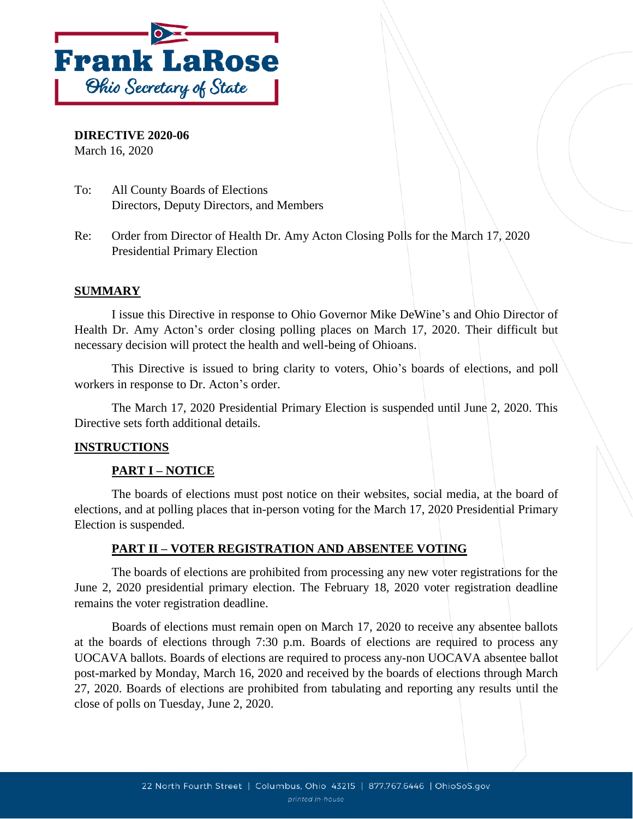

**DIRECTIVE 2020-06**

March 16, 2020

- To: All County Boards of Elections Directors, Deputy Directors, and Members
- Re: Order from Director of Health Dr. Amy Acton Closing Polls for the March 17, 2020 Presidential Primary Election

## **SUMMARY**

I issue this Directive in response to Ohio Governor Mike DeWine's and Ohio Director of Health Dr. Amy Acton's order closing polling places on March 17, 2020. Their difficult but necessary decision will protect the health and well-being of Ohioans.

This Directive is issued to bring clarity to voters, Ohio's boards of elections, and poll workers in response to Dr. Acton's order.

The March 17, 2020 Presidential Primary Election is suspended until June 2, 2020. This Directive sets forth additional details.

### **INSTRUCTIONS**

# **PART I – NOTICE**

The boards of elections must post notice on their websites, social media, at the board of elections, and at polling places that in-person voting for the March 17, 2020 Presidential Primary Election is suspended.

# **PART II – VOTER REGISTRATION AND ABSENTEE VOTING**

The boards of elections are prohibited from processing any new voter registrations for the June 2, 2020 presidential primary election. The February 18, 2020 voter registration deadline remains the voter registration deadline.

Boards of elections must remain open on March 17, 2020 to receive any absentee ballots at the boards of elections through 7:30 p.m. Boards of elections are required to process any UOCAVA ballots. Boards of elections are required to process any-non UOCAVA absentee ballot post-marked by Monday, March 16, 2020 and received by the boards of elections through March 27, 2020. Boards of elections are prohibited from tabulating and reporting any results until the close of polls on Tuesday, June 2, 2020.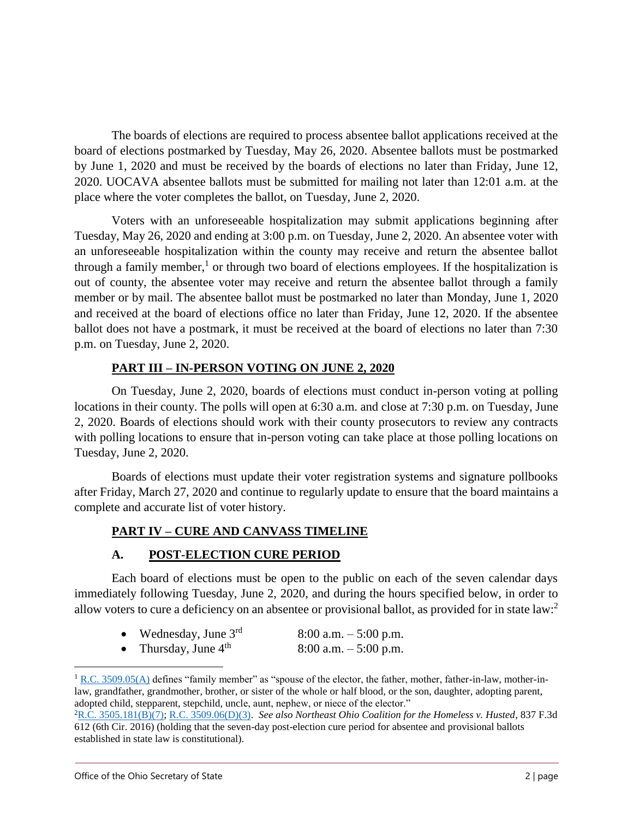The boards of elections are required to process absentee ballot applications received at the board of elections postmarked by Tuesday, May 26, 2020. Absentee ballots must be postmarked by June 1, 2020 and must be received by the boards of elections no later than Friday, June 12, 2020. UOCAVA absentee ballots must be submitted for mailing not later than 12:01 a.m. at the place where the voter completes the ballot, on Tuesday, June 2, 2020.

Voters with an unforeseeable hospitalization may submit applications beginning after Tuesday, May 26, 2020 and ending at 3:00 p.m. on Tuesday, June 2, 2020. An absentee voter with an unforeseeable hospitalization within the county may receive and return the absentee ballot through a family member,<sup>1</sup> or through two board of elections employees. If the hospitalization is out of county, the absentee voter may receive and return the absentee ballot through a family member or by mail. The absentee ballot must be postmarked no later than Monday, June 1, 2020 and received at the board of elections office no later than Friday, June 12, 2020. If the absentee ballot does not have a postmark, it must be received at the board of elections no later than 7:30 p.m. on Tuesday, June 2, 2020.

## **PART III – IN-PERSON VOTING ON JUNE 2, 2020**

On Tuesday, June 2, 2020, boards of elections must conduct in-person voting at polling locations in their county. The polls will open at 6:30 a.m. and close at 7:30 p.m. on Tuesday, June 2, 2020. Boards of elections should work with their county prosecutors to review any contracts with polling locations to ensure that in-person voting can take place at those polling locations on Tuesday, June 2, 2020.

Boards of elections must update their voter registration systems and signature pollbooks after Friday, March 27, 2020 and continue to regularly update to ensure that the board maintains a complete and accurate list of voter history.

# **PART IV – CURE AND CANVASS TIMELINE**

# **A. POST-ELECTION CURE PERIOD**

Each board of elections must be open to the public on each of the seven calendar days immediately following Tuesday, June 2, 2020, and during the hours specified below, in order to allow voters to cure a deficiency on an absentee or provisional ballot, as provided for in state law:<sup>2</sup>

| Wednesday, June $3rd$          | $8:00$ a.m. $-5:00$ p.m. |
|--------------------------------|--------------------------|
| Thursday, June 4 <sup>th</sup> | $8:00$ a.m. $-5:00$ p.m. |

 $1 R.C. 3509.05(A)$  $1 R.C. 3509.05(A)$  defines "family member" as "spouse of the elector, the father, mother, father-in-law, mother-inlaw, grandfather, grandmother, brother, or sister of the whole or half blood, or the son, daughter, adopting parent, adopted child, stepparent, stepchild, uncle, aunt, nephew, or niece of the elector."

 $\overline{a}$ 

<sup>2</sup>[R.C. 3505.181\(B\)\(7\);](http://codes.ohio.gov/orc/3505.181) [R.C. 3509.06\(D\)\(3\).](http://codes.ohio.gov/orc/3509.06) *See also Northeast Ohio Coalition for the Homeless v. Husted*, 837 F.3d 612 (6th Cir. 2016) (holding that the seven-day post-election cure period for absentee and provisional ballots established in state law is constitutional).